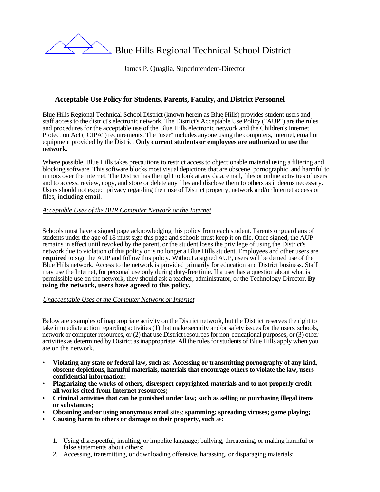

Blue Hills Regional Technical School District

James P. Quaglia, Superintendent-Director

# **Acceptable Use Policy for Students, Parents, Faculty, and District Personnel**

Blue Hills Regional Technical School District (known herein as Blue Hills) provides student users and staff access to the district's electronic network. The District's Acceptable Use Policy ("AUP") are the rules and procedures for the acceptable use of the Blue Hills electronic network and the Children's Internet Protection Act ("CIPA") requirements. The "user" includes anyone using the computers, Internet, email or equipment provided by the District **Only current students or employees are authorized to use the network.**

Where possible. Blue Hills takes precautions to restrict access to objectionable material using a filtering and blocking software. This software blocks most visual depictions that are obscene, pornographic, and harmful to minors over the Internet. The District has the right to look at any data, email, files or online activities of users and to access, review, copy, and store or delete any files and disclose them to others as it deems necessary. Users should not expect privacy regarding their use of District property, network and/or Internet access or files, including email.

## *Acceptable Uses of the BHR Computer Network or the Internet*

Schools must have a signed page acknowledging this policy from each student. Parents or guardians of students under the age of 18 must sign this page and schools must keep it on file. Once signed, the AUP remains in effect until revoked by the parent, or the student loses the privilege of using the District's network due to violation of this policy or is no longer a Blue Hills student. Employees and other users are **required** to sign the AUP and follow this policy. Without a signed AUP, users will be denied use of the Blue Hills network. Access to the network is provided primarily for education and District business. Staff may use the Internet, for personal use only during duty-free time. If a user has a question about what is permissible use on the network, they should ask a teacher, administrator, or the Technology Director. **By using the network, users have agreed to this policy.**

#### *Unacceptable Uses of the Computer Network or Internet*

Below are examples of inappropriate activity on the District network, but the District reserves the right to take immediate action regarding activities (1) that make security and/or safety issues for the users, schools, network or computer resources, or (2) that use District resources for non-educational purposes, or (3) other activities as determined by District as inappropriate. All the rules for students of Blue Hills apply when you are on the network.

- **Violating any state or federal law, such as: Accessing or transmitting pornography of any kind, obscene depictions, harmful materials, materials that encourage others to violate the law, users confidential information;**
- **Plagiarizing the works of others, disrespect copyrighted materials and to not properly credit all works cited from Internet resources;**
- **Criminal activities that can be punished under law; such as selling or purchasing illegal items or substances;**
- **Obtaining and/or using anonymous email** sites; **spamming; spreading viruses; game playing;**
- **Causing harm to others or damage to their property, such** as:
	- 1. Using disrespectful, insulting, or impolite language; bullying, threatening, or making harmful or false statements about others;
	- 2. Accessing, transmitting, or downloading offensive, harassing, or disparaging materials;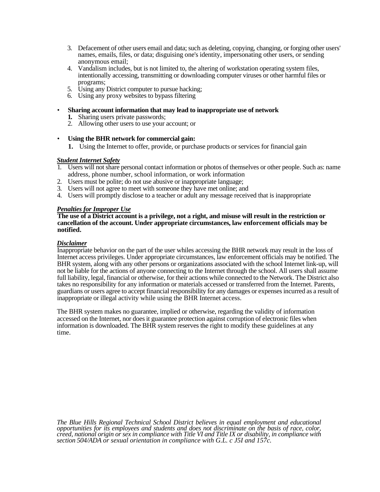- 3. Defacement of other users email and data; such as deleting, copying, changing, or forging other users' names, emails, files, or data; disguising one's identity, impersonating other users, or sending anonymous email;
- 4. Vandalism includes, but is not limited to, the altering of workstation operating system files, intentionally accessing, transmitting or downloading computer viruses or other harmful files or programs;
- 5. Using any District computer to pursue hacking;
- 6. Using any proxy websites to bypass filtering
- **Sharing account information that may lead to inappropriate use of network** 
	- **1.** Sharing users private passwords;
	- 2. Allowing other users to use your account; or
- **Using the BHR network for commercial gain:**
	- **1.** Using the Internet to offer, provide, or purchase products or services for financial gain

### *Student Internet Safety*

- 1. Users will not share personal contact information or photos of themselves or other people. Such as: name address, phone number, school information, or work information
- 2. Users must be polite; do not use abusive or inappropriate language;
- 3. Users will not agree to meet with someone they have met online; and
- 4. Users will promptly disclose to a teacher or adult any message received that is inappropriate

#### *Penalties for Improper Use*

#### **The use of a District account is a privilege, not a right, and misuse will result in the restriction or cancellation of the account. Under appropriate circumstances, law enforcement officials may be notified.**

### *Disclaimer*

Inappropriate behavior on the part of the user whiles accessing the BHR network may result in the loss of Internet access privileges. Under appropriate circumstances, law enforcement officials may be notified. The BHR system, along with any other persons or organizations associated with the school Internet link-up, will not be liable for the actions of anyone connecting to the Internet through the school. All users shall assume full liability, legal, financial or otherwise, for their actions while connected to the Network. The District also takes no responsibility for any information or materials accessed or transferred from the Internet. Parents, guardians or users agree to accept financial responsibility for any damages or expenses incurred as a result of inappropriate or illegal activity while using the BHR Internet access.

The BHR system makes no guarantee, implied or otherwise, regarding the validity of information accessed on the Internet, nor does it guarantee protection against corruption of electronic files when information is downloaded. The BHR system reserves the right to modify these guidelines at any time.

The Blue Hills Regional Technical School District believes in equal employment and educational opportunities for its employees and students and does not discriminate on the basis of race, color, creed, national origin or s